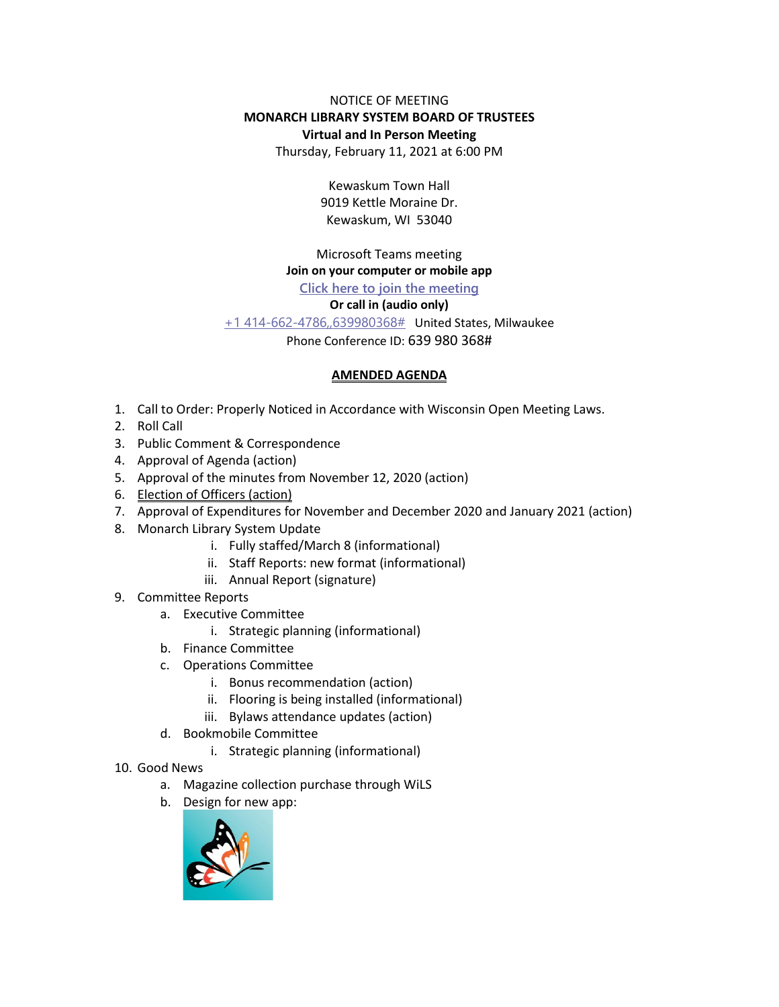### NOTICE OF MEETING **MONARCH LIBRARY SYSTEM BOARD OF TRUSTEES Virtual and In Person Meeting**

Thursday, February 11, 2021 at 6:00 PM

Kewaskum Town Hall 9019 Kettle Moraine Dr. Kewaskum, WI 53040

Microsoft Teams meeting

# **Join on your computer or mobile app**

## **[Click here to join the meeting](https://teams.microsoft.com/l/meetup-join/19%3ameeting_MTIzOTYzNWUtMGUxZS00NjBkLThiNGUtZDdmYWE3MmVjZjlj%40thread.v2/0?context=%7b%22Tid%22%3a%228bc9106c-7143-432b-a0d6-6b0c089349b2%22%2c%22Oid%22%3a%2282c09725-6428-4a58-9841-a9ffe11e3df4%22%7d)**

## **Or call in (audio only)**

[+1 414-662-4786,,639980368#](tel:+14146624786,,639980368# ) United States, Milwaukee

Phone Conference ID: 639 980 368#

#### **AMENDED AGENDA**

- 1. Call to Order: Properly Noticed in Accordance with Wisconsin Open Meeting Laws.
- 2. Roll Call
- 3. Public Comment & Correspondence
- 4. Approval of Agenda (action)
- 5. Approval of the minutes from November 12, 2020 (action)
- 6. Election of Officers (action)
- 7. Approval of Expenditures for November and December 2020 and January 2021 (action)
- 8. Monarch Library System Update
	- i. Fully staffed/March 8 (informational)
	- ii. Staff Reports: new format (informational)
	- iii. Annual Report (signature)
- 9. Committee Reports
	- a. Executive Committee
		- i. Strategic planning (informational)
	- b. Finance Committee
	- c. Operations Committee
		- i. Bonus recommendation (action)
		- ii. Flooring is being installed (informational)
		- iii. Bylaws attendance updates (action)
	- d. Bookmobile Committee
		- i. Strategic planning (informational)
- 10. Good News
	- a. Magazine collection purchase through WiLS
	- b. Design for new app: